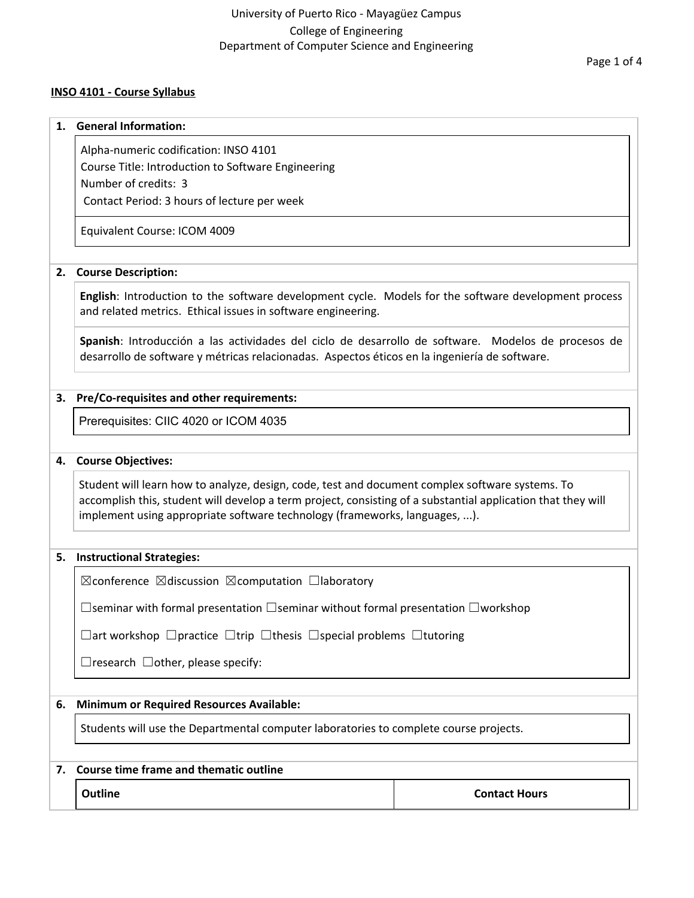### **INSO 4101 - Course Syllabus**

#### **1. General Information:**

Alpha-numeric codification: INSO 4101

Course Title: Introduction to Software Engineering Number of credits: 3

Contact Period: 3 hours of lecture per week

Equivalent Course: ICOM 4009

### **2. Course Description:**

**English**: Introduction to the software development cycle. Models for the software development process and related metrics. Ethical issues in software engineering.

**Spanish**: Introducción a las actividades del ciclo de desarrollo de software. Modelos de procesos de desarrollo de software y métricas relacionadas. Aspectos éticos en la ingeniería de software.

### **3. Pre/Co-requisites and other requirements:**

Prerequisites: CIIC 4020 or ICOM 4035

#### **4. Course Objectives:**

Student will learn how to analyze, design, code, test and document complex software systems. To accomplish this, student will develop a term project, consisting of a substantial application that they will implement using appropriate software technology (frameworks, languages, ...).

#### **5. Instructional Strategies:**

☒conference ☒discussion ☒computation ☐laboratory

☐seminar with formal presentation ☐seminar without formal presentation ☐workshop

☐art workshop ☐practice ☐trip ☐thesis ☐special problems ☐tutoring

 $\Box$ research  $\Box$ other, please specify:

### **6. Minimum or Required Resources Available:**

Students will use the Departmental computer laboratories to complete course projects.

#### **7. Course time frame and thematic outline**

**Outline Contact Hours**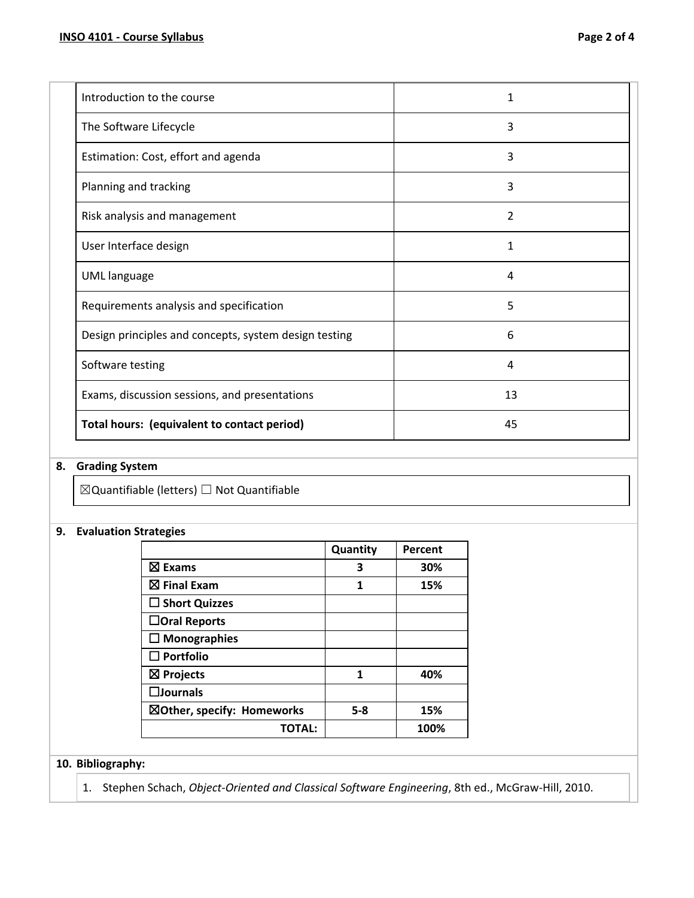| Introduction to the course                            | 1  |
|-------------------------------------------------------|----|
| The Software Lifecycle                                | 3  |
| Estimation: Cost, effort and agenda                   | 3  |
| Planning and tracking                                 | 3  |
| Risk analysis and management                          | 2  |
| User Interface design                                 | 1  |
| <b>UML</b> language                                   | 4  |
| Requirements analysis and specification               | 5  |
| Design principles and concepts, system design testing | 6  |
| Software testing                                      | 4  |
| Exams, discussion sessions, and presentations         | 13 |
| Total hours: (equivalent to contact period)           | 45 |

# **8. Grading System**

 $\boxtimes$ Quantifiable (letters)  $\Box$  Not Quantifiable

## **9. Evaluation Strategies**

|                            | Quantity | Percent |
|----------------------------|----------|---------|
| $\boxtimes$ Exams          | 3        | 30%     |
| $\boxtimes$ Final Exam     | 1        | 15%     |
| $\Box$ Short Quizzes       |          |         |
| $\Box$ Oral Reports        |          |         |
| $\Box$ Monographies        |          |         |
| $\square$ Portfolio        |          |         |
| $\boxtimes$ Projects       | 1        | 40%     |
| $\square$ Journals         |          |         |
| ⊠Other, specify: Homeworks | $5 - 8$  | 15%     |
| TOTAL:                     |          | 100%    |

## **10. Bibliography:**

1. Stephen Schach, *Object-Oriented and Classical Software Engineering*, 8th ed., McGraw-Hill, 2010.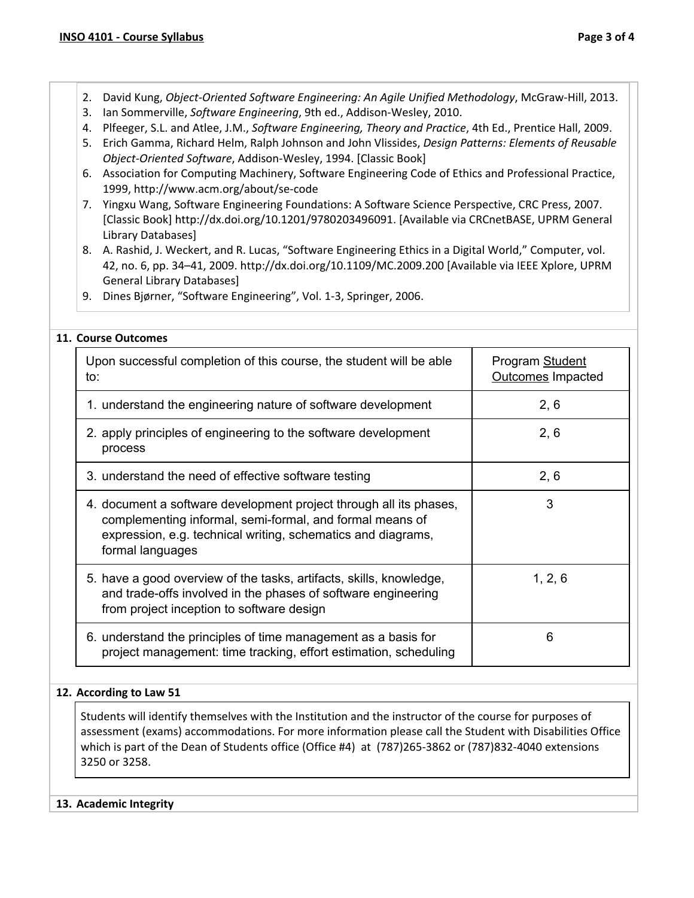- 2. David Kung, *Object-Oriented Software Engineering: An Agile Unified Methodology*, McGraw-Hill, 2013.
- 3. Ian Sommerville, *Software Engineering*, 9th ed., Addison-Wesley, 2010.
- 4. Plfeeger, S.L. and Atlee, J.M., *Software Engineering, Theory and Practice*, 4th Ed., Prentice Hall, 2009.
- 5. Erich Gamma, Richard Helm, Ralph Johnson and John Vlissides, *Design Patterns: Elements of Reusable Object-Oriented Software*, Addison-Wesley, 1994. [Classic Book]
- 6. Association for Computing Machinery, Software Engineering Code of Ethics and Professional Practice, 1999, http://www.acm.org/about/se-code
- 7. Yingxu Wang, Software Engineering Foundations: A Software Science Perspective, CRC Press, 2007. [Classic Book] http://dx.doi.org/10.1201/9780203496091. [Available via CRCnetBASE, UPRM General Library Databases]
- 8. A. Rashid, J. Weckert, and R. Lucas, "Software Engineering Ethics in a Digital World," Computer, vol. 42, no. 6, pp. 34–41, 2009. http://dx.doi.org/10.1109/MC.2009.200 [Available via IEEE Xplore, UPRM General Library Databases]
- 9. Dines Bjørner, "Software Engineering", Vol. 1-3, Springer, 2006.

## **11. Course Outcomes**

| Upon successful completion of this course, the student will be able<br>to:                                                                                                                                         | Program Student<br><b>Outcomes Impacted</b> |
|--------------------------------------------------------------------------------------------------------------------------------------------------------------------------------------------------------------------|---------------------------------------------|
| 1. understand the engineering nature of software development                                                                                                                                                       | 2, 6                                        |
| 2. apply principles of engineering to the software development<br>process                                                                                                                                          | 2, 6                                        |
| 3. understand the need of effective software testing                                                                                                                                                               | 2, 6                                        |
| 4. document a software development project through all its phases,<br>complementing informal, semi-formal, and formal means of<br>expression, e.g. technical writing, schematics and diagrams,<br>formal languages | 3                                           |
| 5. have a good overview of the tasks, artifacts, skills, knowledge,<br>and trade-offs involved in the phases of software engineering<br>from project inception to software design                                  | 1, 2, 6                                     |
| 6. understand the principles of time management as a basis for<br>project management: time tracking, effort estimation, scheduling                                                                                 | 6                                           |

### **12. According to Law 51**

Students will identify themselves with the Institution and the instructor of the course for purposes of assessment (exams) accommodations. For more information please call the Student with Disabilities Office which is part of the Dean of Students office (Office #4) at (787)265-3862 or (787)832-4040 extensions 3250 or 3258.

### **13. Academic Integrity**